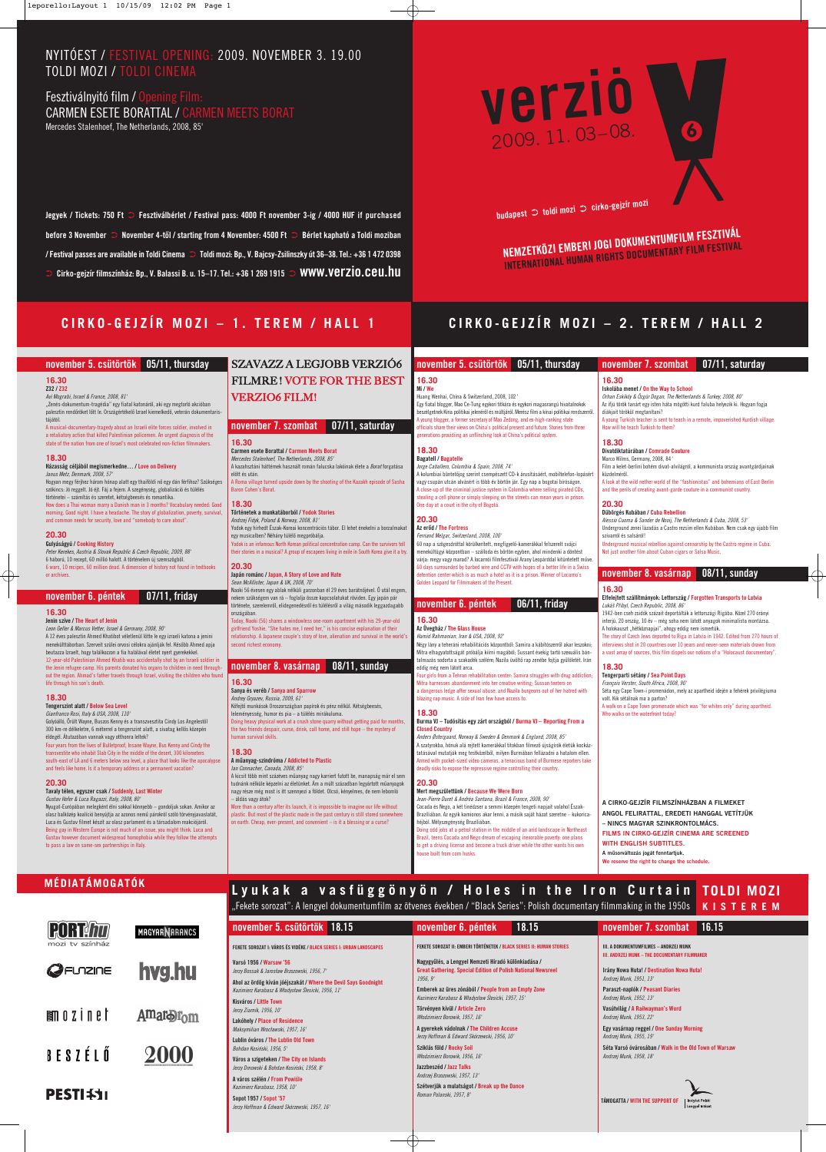## **november 5. csütörtök 05/11, thursday**

## **16.30**

**Mi / We** Huang Wenhai, China & Switzerland, 2008, 102' Egy fiatal blogger, Mao Ce-Tung egykori titkára és egykori magasrangú hivatalnokok beszélgetnek Kína politikai jelenérôl és múltjáról. Merész film a kínai politikai rendszerrôl.

A young blogger, a former secretary of Mao Zedong, and ex-high-ranking state fficials share their views on China's political present and future. Stories from three generations providiing an unflinching look at China's political system.

Fernand Melgar, Switzerland, 2008, 100' 60 nap a szögesdróttal körülkerített, megfigyelô-kamerákkal felszerelt svájci menekültügyi központban – szálloda és börtön egyben, ahol mindenki a döntést várja: megy vagy marad? A locarnói filmfesztivál Arany Leopárddal kitüntetett mûve. 60 days surrounded by barbed wire and CCTV with hopes of a better life in a Swiss ion center which is as much a hotel as it is a prison. Winner of Locarno's olden Leopard for Filmmakers of the Present

### **18.30 Bagatell / Bagatelle**

Jorge Caballero, Columbia & Spain, 2008, 74' A kolumbiai büntetôjog szerint csempészett CD-k árusításáért, mobiltelefon-lopásért vagy csupán utcán alvásért is több év börtön jár. Egy nap a bogotai bíróságon. A close-up of the criminal justice system in Colombia where selling pirated CDs, tealing a cell phone or simply sleeping on the streets can mean years in prison. One day at a court in the city of Bogotá.

### **20.30 Az erôd / The Fortress**

## **november 6. péntek 06/11, friday**

**16.30 Az Üvegház / The Glass House** 

Hamid Rahmanian, Iran & USA, 2008, 92' Négy lány a teheráni rehabilitációs központból: Samira a kábítószerrôl akar leszokni; Mitra elhagyatottságát próbálja kiírni magából; Sussant évekig tartó szexuális bántal mazás sodorta a szakadék szélére; Nazila üvöltô rap zenébe fojtja gyûlöletét. Irán

eddig még nem látott arca. Four girls from a Tehran rehabilitation center: Samira struggles with drug addiction; Mitra harnesses abandonment into her creative writing; Sussan teeters on

a dangerous ledge after sexual abuse; and Nazila burgeons out of her hatred with blazing rap music. A side of Iran few have access to.

**Elfelejtett szállítmányok: Lettország / Forgotten Transports to Latvia** Lukáš Přibyl, Czech Republic, 2008, 86'

## **18.30**

## **Burma VJ – Tudósítás egy zárt országból / Burma VJ – Reporting From a Closed Country**

1942-ben cseh zsidók százait deportálták a lettországi Rigába. Közel 270 órányi interjú, 20 ország, 10 év – még soha nem látott anyagok minimalista montázsa. A holokauszt "hétköznapjai", ahogy eddig nem ismertük.

Anders Østergaard, Norway & Sweden & Denmark & England, 2008, 85' A szatyrokba, hónuk alá rejtett kamerákkal titokban filmezô újságírók életük kockáz tatásával mutatják meg testközelbôl, milyen Burmában fellázadni a hatalom ellen. Armed with pocket-sized video cameras, a tenacious band of Burmese reporters take deadly risks to expose the repressive regime controlling their country.

### **20.30 Mert megszülettünk / Because We Were Born**

Jean-Pierre Duret & Andréa Santana, Brazil & France, 2008, 90' Cocada és Nego, a két tinédzser a semmi közepén tengeti napjait valahol Észak-Brazíliában. Az egyik kamionos akar lenni, a másik saját házat szeretne – kukorica héjból. Mélyszegénység Brazíliában.

**november 7. szombat 07/11, saturday**

**16.30**

**Iskolába menet / On the Way to School**

Orhan Eskiköy & Özgür Dogan, The Netherlands & Turkey, 2008, 80' Az ifjú török tanárt egy isten háta mögötti kurd faluba helyezik ki. Hogyan fogja

diákjait törökül megtanítani?

A young Turkish teacher is sent to teach in a remote, impoverished Kurdish village.

How will he teach Turkish to them?

**18.30**

## **Divatdiktatúrában / Comrade Couture** Marco Wilms, Germany, 2008, 84'

Film a kelet-berlini bohém divat-alvilágról, a kommunista ország avantgárdjainak küzdelmérôl.

A look at the wild nether world of the "fashionistas" and bohemians of East Berlin and the perils of creating avant-garde couture in a communist country.

## **20.30**

**Dübörgés Kubában / Cuba Rebellion** Alessio Cuoma & Sander de Nooij, The Netherlands & Cuba, 2008, 53' Underground zenei lázadás a Castro rezsim ellen Kubában. Nem csak egy újabb film szivarról és salsáról! Underground musical rebellion against censorship by the Castro regime in Cuba.

Not just another film about Cuban cigars or Salsa Music.

## **november 8. vasárnap 08/11, sunday**

## **16.30**

The story of Czech Jews deported to Riga in Latvia in 1942. Edited from 270 hours of interviews shot in 20 countries over 10 years and never-seen materials drawn from a vast array of sources, this film dispels our notions of a "Holocaust documentary".

## **18.30**

**Sanya és veréb / Sanya and Sparrow** Andrey Gryazev, Russia, 2009, 61' Kôfejtô munkások Oroszországban papírok és pénz nélkül. Kétségbeesés, leleményesség, humor és pia – a túlélés mirákuluma. Doing heavy physical work at a crush stone quarry without getting paid for months, the two friends despair, curse, drink, call home, and still hope – the mystery of man survival skills.

**Tengerparti sétány / Sea Point Days** François Verster, South Africa, 2008, 90'

Séta egy Cape Town-i promenádon, mely az apartheid idején a fehérek privilégiuma volt. Kik sétálnak ma a parton?

A walk on a Cape Town promenade which was "for whites only" during apartheid. Who walks on the waterfront today?

# **CIRKO-GEJZÍR MOZI – 1. TEREM / HALL 1 CIRKO-GEJZÍR MOZI – 2. TEREM / HALL 2**

## **november 5. csütörtök 05/11, thursday**

### **16.30 Z32 / Z32**

Avi Mograbi, Israel & France, 2008, 81' "Zenés-dokumentum-tragédia" egy fiatal katonáról, aki egy megtorló akcióban palesztin rendôröket lôtt le. Országértékelô Izrael kiemelkedô, veterán dokumentaristájától.

A musical-documentary-tragedy about an Israeli elite forces soldier, involved in a retaliatory action that killed Palestinian policemen. An urgent diagnosis of the state of the nation from one of Israel's most celebrated non-fiction filmmakers.

### **18.30**

**Házasság céljából megismerkedne… / Love on Delivery** Janus Metz, Denmark, 2008, 57'

Hogyan megy férjhez három hónap alatt egy thaiföldi nô egy dán férfihoz? Szükséges szókincs: Jó reggelt. Jó éjt. Fáj a fejem. A szegénység, globalizáció és túlélés történetei – számítás és szeretet, kétségbeesés és romantika. How does a Thai woman marry a Danish man in 3 months? Vocabulary needed: Good morning. Good night. I have a headache. The story of globalization, poverty, survival, and common needs for security, love and "somebody to care about".

## **20.30**

**Gulyáságyú / Cooking History**

Peter Kerekes, Austria & Slovak Republic & Czech Republic, 2009, 88' 6 háború, 10 recept, 60 millió halott. A történelem új szemszögbôl. 6 wars, 10 recipes, 60 million dead. A dimension of history not found in textbooks or archives.

## **november 6. péntek 07/11, friday**

**16.30**

## **Jenin szíve / The Heart of Jenin**

"Fekete sorozat": A lengyel dokumentumfilm az ötvenes években / "Black Series": Polish documentary filmmaking in the 1950s **KISTEREM**

Leon Geller & Marcus Vetter, Israel & Germany, 2008, 90' A 12 éves palesztin Ahmed Khatibot véletlenül lôtte le egy izraeli katona a jenini menekülttáborban. Szerveit szülei orvosi célokra ajánlják fel. Késôbb Ahmed apja beutazza Izraelt, hogy találkozzon a fia halálával életet nyert gyerekekkel. 12-year-old Palestinian Ahmed Khatib was accidentally shot by an Israeli soldier in the Jenin refugee camp. His parents donated his organs to children in need throughout the region. Ahmad's father travels through Israel, visiting the children who found life through his son's death.

## **18.30**

**Tengerszint alatt / Below Sea Level** Gianfranco Rosi, Italy & USA, 2008, 110'

Golyóálló, Ôrült Wayne, Buszos Kenny és a transzvesztita Cindy Los Angelestôl 300 km-re délkeletre, 6 méterrel a tengerszint alatt, a sivatag kellôs közepén éldegél. Átutazóban vannak vagy otthonra leltek?

Four years from the lives of Bulletproof, Insane Wayne, Bus Kenny and Cindy the transvestite who inhabit Slab City in the middle of the desert, 300 kilometers south-east of LA and 6 meters below sea level, a place that looks like the apocalypse and feels like home. Is it a temporary address or a permanent vacation?

## **20.30**

**Tavaly télen, egyszer csak / Suddenly, Last Winter** Gustav Hofer & Luca Ragazzi, Italy, 2008, 80' Nyugat-Európában melegként élni sokkal könnyebb – gondoljuk sokan. Amikor az olasz balközép koalíció benyújtja az azonos nemû párokról szóló törvényjavaslatát, Luca és Gustav filmet készít az olasz parlament és a társadalom reakciójáról.

Being gay in Western Europe is not much of an issue, you might think. Luca and Gustav however document widespread homophobia while they follow the attempts to pass a law on same-sex partnerships in Italy.

iobs at a petrol station in the middle of an arid landscape in Northeast Brazil, teens Cocada and Nego dream of escaping inexorable poverty: one plans to get a driving license and become a truck driver while the other wants his own use built from corn husks.

## **november 7. szombat 07/11, saturday**

### **16.30**

**Carmen esete Borattal / Carmen Meets Borat** Mercedes Stalenhoef, The Netherlands, 2008, 85'

A kazahsztáni háttérnek használt román falucska lakóinak élete a Borat forgatása elôtt és után. A Roma village turned upside down by the shooting of the Kazakh episode of Sasha

Baron Cohen's Borat.

### **18.30 Történetek a munkatáborból / Yodok Stories**

Andrzej Fidyk, Poland & Norway, 2008, 81' Yodok egy hirhedt Észak-Koreai koncentrációs tábor. El lehet énekelni a borzalmakat egy musicalben? Néhány túlélô megpróbálja. Yodok is an infamous North Korean political concentration camp. Can the survivors tell their stories in a musical? A group of escapees living in exile in South Korea give it a try.

## **20.30 Japán románc / Japan, A Story of Love and Hate**

Sean McAllister, Japan & UK, 2008, 70' Naoki 56 évesen egy ablak nélküli garzonban él 29 éves barátnôjével. Ô utál engem, nekem szükségem van rá – foglalja össze kapcsolatukat röviden. Egy japán pár története, szerelemrôl, elidegenedésrôl és túlélésrôl a világ második leggazdagabb országában.

Today, Naoki (56) shares a windowless one-room apartment with his 29-year-old girlfriend Yoshie. "She hates me, I need her," is his concise explanation of their relationship. A Japanese couple's story of love, alienation and survival in the world's second richest economy.

## **november 8. vasárnap 08/11, sunday**

## **16.30**

## **18.30**

**A mûanyag-szindróma / Addicted to Plastic** Ian Connacher, Canada, 2008, 85'

A kicsit több mint százéves mûanyag nagy karriert futott be, manapság már el sem tudnánk nélküle képzelni az életünket. Ám a múlt században legyártott mûanyagok nagy része még most is itt szennyezi a földet. Olcsó, kényelmes, de nem lebomló – áldás vagy átok?

More than a century after its launch, it is impossible to imagine our life without plastic. But most of the plastic made in the past century is still stored somewhere on earth. Cheap, ever-present, and convenient – is it a blessing or a curse?

**Jegyek / Tickets: 750 Ft** ➲ **Fesztiválbérlet / Festival pass: 4000 Ft november 3-ig / 4000 HUF if purchased before 3 November** ➲ **November 4-tôl / starting from 4 November: 4500 Ft** ➲ **Bérlet kapható a Toldi moziban / Festival passes are available in Toldi Cinema** ➲ **Toldi mozi: Bp., V. Bajcsy-Zsilinszky út 36–38. Tel.: +36 1 472 0398** ➲ **Cirko-gejzír filmszínház: Bp., V. Balassi B. u. 15–17. Tel.: +36 1 269 1915** ➲ **www.verzio.ceu.hu**

# NYITÓEST / FESTIVAL OPENING: 2009. NOVEMBER 3. 19.00 TOLDI MOZI / TOLDI CINEMA

Fesztiválnyitó film / Opening Film: CARMEN ESETE BORATTAL / CARMEN MEETS BORAT Mercedes Stalenhoef, The Netherlands, 2008, 85'

# SZAVAZZ A LEGJOBB VERZIÓ6 FILMRE ! VOTE FOR THE BEST

## VERZIO6 FILM!

**NEMZETKÖZI EMBERI JOGI DOKUMENTUMFILM FESZTIVÁL INTERNATIONAL HUMAN RIGHTS DOCUMENTARY FILM FESTIVAL**



**budapest** ➲ **toldi mozi** ➲ **cirko-gejzír moz<sup>i</sup>**

**A CIRKO-GEJZÍR FILMSZÍNHÁZBAN A FILMEKET ANGOL FELIRATTAL, EREDETI HANGGAL VETÍTJÜK – NINCS MAGYAR SZINKRONTOLMÁCS.** 

**FILMS IN CIRKO-GEJZÍR CINEMA ARE SCREENED WITH ENGLISH SUBTITLES. A mûsorváltozás jogát fenntartjuk. We reserve the right to change the schedule.**

## **Lyukak a vasfüggönyön / Holes in the Iron Curtain TOLDI MOZI**

| november 5. csütörtök 18.15                                                                                                                                                                                                                                                                                                                                                                                                                                                     | november 6. péntek                                                                                                                                                                                                                                                                                                                                                                                                                                                                                                                                          | 18.15 | 16.15<br>november 7. szombat                                                                                                                                                                                                                                                                                                                                                                                                                                     |
|---------------------------------------------------------------------------------------------------------------------------------------------------------------------------------------------------------------------------------------------------------------------------------------------------------------------------------------------------------------------------------------------------------------------------------------------------------------------------------|-------------------------------------------------------------------------------------------------------------------------------------------------------------------------------------------------------------------------------------------------------------------------------------------------------------------------------------------------------------------------------------------------------------------------------------------------------------------------------------------------------------------------------------------------------------|-------|------------------------------------------------------------------------------------------------------------------------------------------------------------------------------------------------------------------------------------------------------------------------------------------------------------------------------------------------------------------------------------------------------------------------------------------------------------------|
| FEKETE SOROZAT I: VÁROS ÉS VIDÉKE / BLACK SERIES I: URBAN LANDSCAPES<br>Varsó 1956 / Warsaw '56<br>Jerzy Bossak & Jarosław Brzozowski, 1956, 7'<br>Ahol az ördög kíván jóéjszakát / Where the Devil Says Goodnight<br>Kazimierz Karabasz & Władysław Ślesicki, 1956, 11'<br>Kisváros / Little Town<br>Jerzy Ziarnik, 1956, 10'<br><b>Lakóhely / Place of Residence</b><br>Maksymilian Wrocławski, 1957, 16'<br>Lublin óváros / The Lublin Old Town<br>Bohdan Kosiński, 1956, 5' | FEKETE SOROZAT II: EMBERI TÖRTÉNETEK / BLACK SERIES II: HUMAN STORIES<br>Nagygyűlés, a Lengyel Nemzeti Híradó különkiadása /<br><b>Great Gathering. Special Edition of Polish National Newsreel</b><br>1956.9'<br>Emberek az üres zónából / People from an Empty Zone<br>Kazimierz Karabasz & Władysław Ślesicki, 1957, 15'<br>Törvényen kívül / Article Zero<br>Włodzimierz Borowik, 1957, 16'<br>A gyerekek vádolnak / The Children Accuse<br>Jerzy Hoffman & Edward Skórzewski, 1956, 10'<br>Sziklás föld / Rocky Soil<br>Włodzimierz Borowik, 1956, 16' |       | III. A DOKUMENTUMFILMES - ANDRZEJ MUNK<br><b>III. ANDRZEJ MUNK - THE DOCUMENTARY FILMMAKER</b><br>Irány Nowa Huta! / Destination Nowa Huta!<br>Andrzej Munk, 1951, 13'<br>Paraszt-naplók / Peasant Diaries<br>Andrzej Munk, 1952, 13'<br>Vasútvilág / A Railwayman's Word<br>Andrzej Munk, 1953, 22'<br>Egy vasárnap reggel / One Sunday Morning<br>Andrzej Munk, 1955, 19'<br>Séta Varsó óvárosában / Walk in the Old Town of Warsaw<br>Andrzej Munk, 1958, 18' |
| Város a szigeteken / The City on Islands<br>Jerzy Dmowski & Bohdan Kosiński, 1958, 8'<br>A város szélén / From Powiśle<br>Kazimierz Karabasz, 1958, 10'<br>Sopot 1957 / Sopot '57<br>Jerzy Hoffman & Edward Skórzewski, 1957, 16'                                                                                                                                                                                                                                               | Jazzbeszéd / Jazz Talks<br>Andrzej Brzozowski, 1957, 13'<br>Szétverjük a mulatságot / Break up the Dance<br>Roman Polanski, 1957, 8'                                                                                                                                                                                                                                                                                                                                                                                                                        |       | TÁMOGATTA / WITH THE SUPPORT OF<br><b>Instytut Polski</b><br>Lengyel Intézet                                                                                                                                                                                                                                                                                                                                                                                     |

## **MÉDIATÁMOGATÓK**



**MAGYAR ARANCS** 

**Amarbin** 



 $\mathbb{R}$  0  $\mathbb{Z}$  1  $\mathbb{R}$  1



BESZÉLŐ

# **PESTIES1**